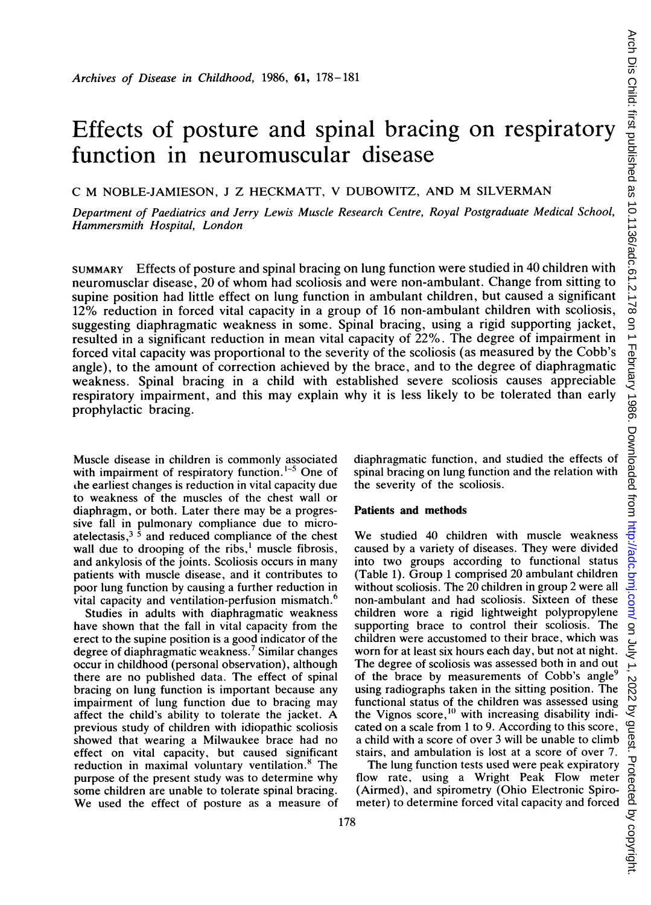# Effects of posture and spinal bracing on respiratory function in neuromuscular disease

C M NOBLE-JAMIESON, J Z HECKMATT, V DUBOWITZ, AND M SILVERMAN

Department of Paediatrics and Jerry Lewis Muscle Research Centre, Royal Postgraduate Medical School, Hammersmith Hospital, London

SUMMARY Effects of posture and spinal bracing on lung function were studied in 40 children with neuromusclar disease, 20 of whom had scoliosis and were non-ambulant. Change from sitting to supine position had little effect on lung function in ambulant children, but caused a significant 12% reduction in forced vital capacity in a group of 16 non-ambulant children with scoliosis, suggesting diaphragmatic weakness in some. Spinal bracing, using a rigid supporting jacket, resulted in a significant reduction in mean vital capacity of 22%. The degree of impairment in forced vital capacity was proportional to the severity of the scoliosis (as measured by the Cobb's angle), to the amount of correction achieved by the brace, and to the degree of diaphragmatic weakness. Spinal bracing in a child with established severe scoliosis causes appreciable respiratory impairment, and this may explain why it is less likely to be tolerated than early prophylactic bracing.

Muscle disease in children is commonly associated with impairment of respiratory function.<sup>1-5</sup> One of the earliest changes is reduction in vital capacity due to weakness of the muscles of the chest wall or diaphragm, or both. Later there may be a progressive fall in pulmonary compliance due to microatelectasis,<sup>3</sup> $\dot{5}$  and reduced compliance of the chest wall due to drooping of the ribs, $<sup>1</sup>$  muscle fibrosis,</sup> and ankylosis of the joints. Scoliosis occurs in many patients with muscle disease, and it contributes to poor lung function by causing a further reduction in vital capacity and ventilation-perfusion mismatch.<sup>6</sup>

Studies in adults with diaphragmatic weakness have shown that the fall in vital capacity from the erect to the supine position is a good indicator of the degree of diaphragmatic weakness.<sup>7</sup> Similar changes occur in childhood (personal observation), although there are no published data. The effect of spinal bracing on lung function is important because any impairment of lung function due to bracing may affect the child's ability to tolerate the jacket. A previous study of children with idiopathic scoliosis showed that wearing a Milwaukee brace had no effect on vital capacity, but caused significant reduction in maximal voluntary ventilation.<sup>8</sup> The purpose of the present study was to determine why some children are unable to tolerate spinal bracing. We used the effect of posture as <sup>a</sup> measure of diaphragmatic function, and studied the effects of spinal bracing on lung function and the relation with the severity of the scoliosis.

### Patients and methods

We studied <sup>40</sup> children with muscle weakness caused by a variety of diseases. They were divided into two groups according to functional status (Table 1). Group <sup>1</sup> comprised 20 ambulant children without scoliosis. The 20 children in group 2 were all non-ambulant and had scoliosis. Sixteen of these children wore a rigid lightweight polypropylene supporting brace to control their scoliosis. The children were accustomed to their brace, which was worn for at least six hours each day, but not at night. The degree of scoliosis was assessed both in and out of the brace by measurements of Cobb's angle<sup>9</sup> using radiographs taken in the sitting position. The functional status of the children was assessed using the Vignos score,<sup>10</sup> with increasing disability indicated on a scale from <sup>I</sup> to 9. According to this score, stairs, and ambulation is lost at a score of over 7.

cated on a scale from 1 to 9. According to this score, can<br>a child with a score of over 3 will be unable to climb<br>stairs, and ambulation is lost at a score of over 7.<br>The lung function tests used were peak expiratory rollo The lung function tests used were peak expiratory flow rate, using a Wright Peak Flow meter (Airmed), and spirometry (Ohio Electronic Spirometer) to determine forced vital capacity and forced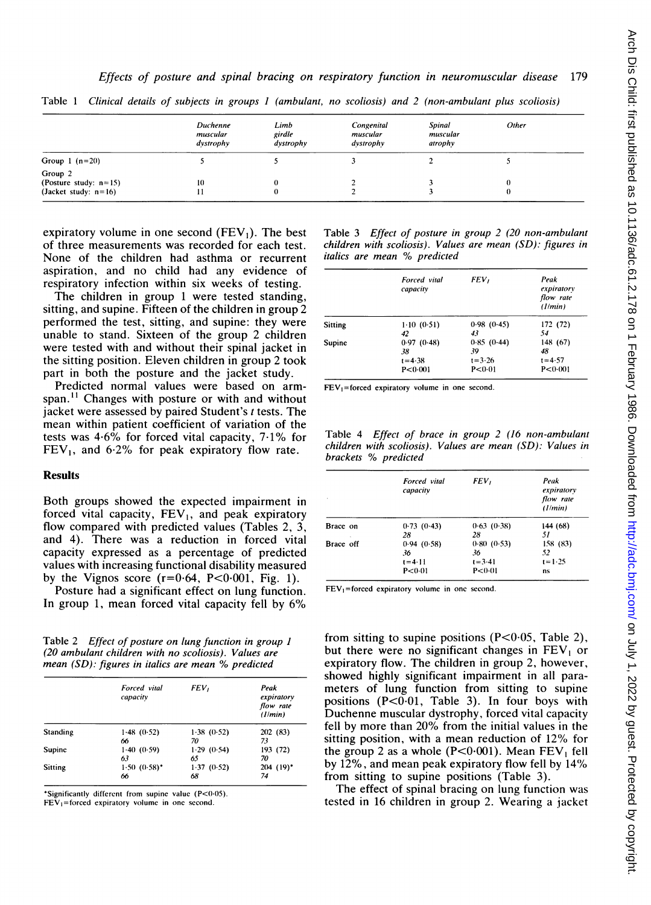|                                                                | Duchenne<br>muscular<br>dystrophy | Limb<br>girdle<br>dystrophy | Congenital<br>muscular<br>dystrophy | <b>Spinal</b><br>muscular<br>atrophy | Other |  |
|----------------------------------------------------------------|-----------------------------------|-----------------------------|-------------------------------------|--------------------------------------|-------|--|
| Group 1 $(n=20)$                                               |                                   |                             |                                     |                                      |       |  |
| Group 2<br>(Posture study: $n=15$ )<br>(Jacket study: $n=16$ ) | 10                                | O<br>$\theta$               |                                     |                                      |       |  |

Table <sup>1</sup> Clinical details of subjects in groups <sup>I</sup> (ambulant, no scoliosis) and 2 (non-ambulant plus scoliosis)

expiratory volume in one second  $(FEV_1)$ . The best of three measurements was recorded for each test. None of the children had asthma or recurrent aspiration, and no child had any evidence of respiratory infection within six weeks of testing.

The children in group <sup>1</sup> were tested standing, sitting, and supine. Fifteen of the children in group 2 performed the test, sitting, and supine: they were unable to stand. Sixteen of the group <sup>2</sup> children were tested with and without their spinal jacket in the sitting position. Eleven children in group 2 took part in both the posture and the jacket study.

Predicted normal values were based on armspan.<sup>11</sup> Changes with posture or with and without jacket were assessed by paired Student's <sup>t</sup> tests. The mean within patient coefficient of variation of the tests was 4-6% for forced vital capacity, 7.1% for  $FEV<sub>1</sub>$ , and 6.2% for peak expiratory flow rate.

## **Results**

Both groups showed the expected impairment in forced vital capacity,  $FEV<sub>1</sub>$ , and peak expiratory flow compared with predicted values (Tables 2, 3, and 4). There was a reduction in forced vital capacity expressed as a percentage of predicted values with increasing functional disability measured by the Vignos score  $(r=0.64, P<0.001, Fig. 1)$ .

Posture had a significant effect on lung function. In group 1, mean forced vital capacity fell by 6%

Table 2 Effect of posture on lung function in group <sup>1</sup> (20 ambulant children with no scoliosis). Values are mean (SD): figures in italics are mean % predicted

|                 | Forced vital<br>capacity | FEV,       | Peak<br>expiratory<br>flow rate<br>(1/min) |
|-----------------|--------------------------|------------|--------------------------------------------|
| <b>Standing</b> | 1.48(0.52)               | 1.38(0.52) | 202 (83)                                   |
|                 | 66                       | 70         | 73                                         |
| Supine          | 1.40(0.59)               | 1.29(0.54) | 193 (72)                                   |
|                 | 63                       | 65         | 70                                         |
| Sitting         | $1.50(0.58)$ *           | 1.37(0.52) | $204$ (19) <sup>*</sup>                    |
|                 | 66                       | 68         | 74                                         |

\*Significantly different from supine value  $(P<0.05)$ .  $FEV<sub>1</sub>=$  forced expiratory volume in one second.

Table 3 Effect of posture in group  $2$  (20 non-ambulant children with scoliosis). Values are mean (SD): figures in italics are mean % predicted

|         | Forced vital<br>capacity | FEV,       | Peak<br>expiratory<br>flow rate<br>(1/min) |
|---------|--------------------------|------------|--------------------------------------------|
| Sitting | 1.10(0.51)               | 0.98(0.45) | 172 (72)                                   |
|         | 42                       | 43         | 54                                         |
| Supine  | 0.97(0.48)               | 0.85(0.44) | 148 (67)                                   |
|         | 38                       | 39         | 48                                         |
|         | $t = 4.38$               | $t = 3.26$ | $t = 4.57$                                 |
|         | P < 0.001                | P < 0.01   | P < 0.001                                  |

 $FEV<sub>1</sub>=$  forced expiratory volume in one second.

Table 4 Effect of brace in group 2 (16 non-ambulant children with scoliosis). Values are mean (SD): Values in brackets % predicted

|                          | Forced vital<br>capacity | FEV,       | Peak<br>expiratory<br>flow rate<br>(1/min) |
|--------------------------|--------------------------|------------|--------------------------------------------|
| Brace on<br>$\mathbf{r}$ | 0.73(0.43)               | 0.63(0.38) | 144 (68)                                   |
|                          | 28                       | 28         | 51                                         |
| Brace off                | 0.94(0.58)               | 0.80(0.53) | 158 (83)                                   |
|                          | 36                       | 36         | 52                                         |
|                          | $t = 4.11$               | $t = 3.41$ | $t = 1.25$                                 |
|                          | P < 0.01                 | P < 0.01   | ns                                         |

 $FEV<sub>1</sub>=$  forced expiratory volume in one second.

from sitting to supine positions  $(P<0.05,$  Table 2), but there were no significant changes in  $FEV<sub>1</sub>$  or expiratory flow. The children in group 2, however, showed highly significant impairment in all parameters of lung function from sitting to supine positions  $(P<0.01$ , Table 3). In four boys with Duchenne muscular dystrophy, forced vital capacity fell by more than 20% from the initial values in the sitting position, with a mean reduction of 12% for the group 2 as a whole  $(P<0.001)$ . Mean FEV<sub>1</sub> fell by 12%, and mean peak expiratory flow fell by 14% from sitting to supine positions (Table 3).

The effect of spinal bracing on lung function was tested in 16 children in group 2. Wearing a jacket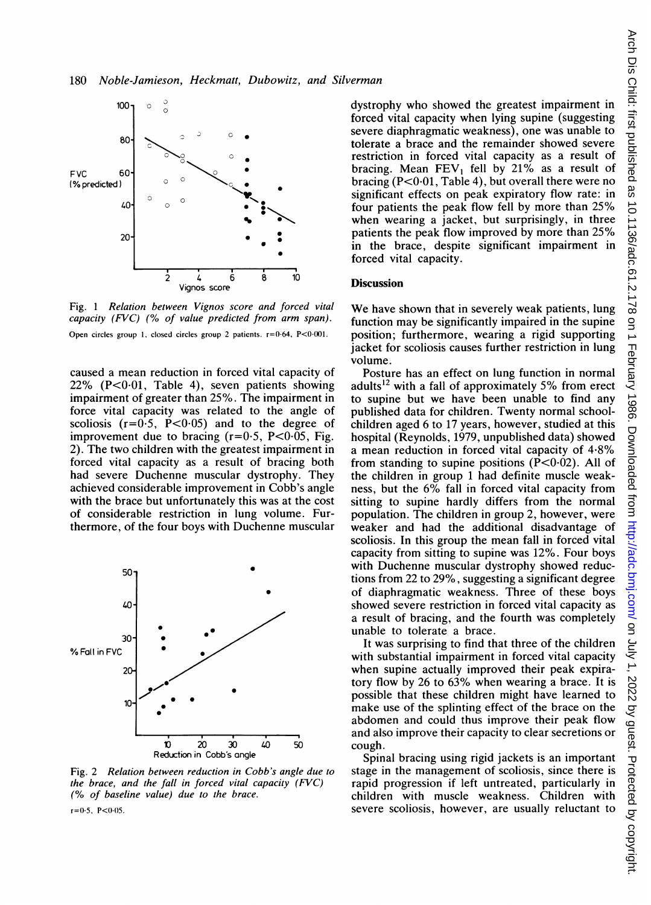

Fig. <sup>1</sup> Relation between Vignos score and forced vital capacity (FVC) (% of value predicted from arm span). Open circles group 1, closed circles group 2 patients.  $r = 0.64$ , P<0.001.

caused a mean reduction in forced vital capacity of  $22\%$  (P<0.01, Table 4), seven patients showing impairment of greater than 25%. The impairment in force vital capacity was related to the angle of scoliosis  $(r=0.5, P<0.05)$  and to the degree of improvement due to bracing  $(r=0.5, P<0.05, Fig.$ 2). The two children with the greatest impairment in forced vital capacity as a result of bracing both had severe Duchenne muscular dystrophy. They achieved considerable improvement in Cobb's angle with the brace but unfortunately this was at the cost of considerable restriction in lung volume. Furthermore, of the four boys with Duchenne muscular



Fig. 2 Relation between reduction in Cobb's angle due to the brace, and the fall in forced vital capacity  $(FVC)$ (% of baseline value) due to the brace.

 $r=0.5$ , P<0.05.

dystrophy who showed the greatest impairment in forced vital capacity when lying supine (suggesting severe diaphragmatic weakness), one was unable to tolerate a brace and the remainder showed severe restriction in forced vital capacity as a result of bracing. Mean  $FEV_1$  fell by 21% as a result of bracing  $(P<0.01, Table 4)$ , but overall there were no significant effects on peak expiratory flow rate: in four patients the peak flow fell by more than 25% when wearing a jacket, but surprisingly, in three patients the peak flow improved by more than 25% in the brace, despite significant impairment in forced vital capacity.

## **Discussion**

We have shown that in severely weak patients, lung function may be significantly impaired in the supine position; furthermore, wearing a rigid supporting jacket for scoliosis causes further restriction in lung volume.

Posture has an effect on lung function in normal adults<sup>12</sup> with a fall of approximately 5% from erect to supine but we have been unable to find any published data for children. Twenty normal schoolchildren aged 6 to 17 years, however, studied at this hospital (Reynolds, 1979, unpublished data) showed a mean reduction in forced vital capacity of 4-8% from standing to supine positions  $(P<0.02)$ . All of the children in group <sup>1</sup> had definite muscle weakness, but the 6% fall in forced vital capacity from sitting to supine hardly differs from the normal population. The children in group 2, however, were weaker and had the additional disadvantage of scoliosis. In this group the mean fall in forced vital capacity from sitting to supine was 12%. Four boys with Duchenne muscular dystrophy showed reductions from 22 to 29%, suggesting a significant degree of diaphragmatic weakness. Three of these boys showed severe restriction in forced vital capacity as <sup>a</sup> result of bracing, and the fourth was completely unable to tolerate a brace.

It was surprising to find that three of the children with substantial impairment in forced vital capacity when supine actually improved their peak expiratory flow by 26 to 63% when wearing <sup>a</sup> brace. It is possible that these children might have learned to make use of the splinting effect of the brace on the abdomen and could thus improve their peak flow and also improve their capacity to clear secretions or cough.

Spinal bracing using rigid jackets is an important stage in the management of scoliosis, since there is rapid progression if left untreated, particularly in children with muscle weakness. Children with severe scoliosis, however, are usually reluctant to